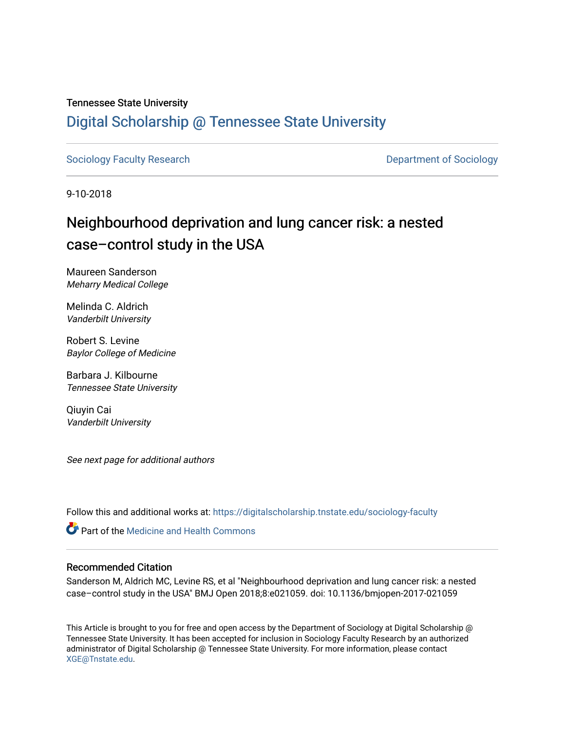#### Tennessee State University

### [Digital Scholarship @ Tennessee State University](https://digitalscholarship.tnstate.edu/)

[Sociology Faculty Research](https://digitalscholarship.tnstate.edu/sociology-faculty) **Department of Sociology Department of Sociology** 

9-10-2018

## Neighbourhood deprivation and lung cancer risk: a nested case–control study in the USA

Maureen Sanderson Meharry Medical College

Melinda C. Aldrich Vanderbilt University

Robert S. Levine Baylor College of Medicine

Barbara J. Kilbourne Tennessee State University

Qiuyin Cai Vanderbilt University

See next page for additional authors

Follow this and additional works at: [https://digitalscholarship.tnstate.edu/sociology-faculty](https://digitalscholarship.tnstate.edu/sociology-faculty?utm_source=digitalscholarship.tnstate.edu%2Fsociology-faculty%2F1&utm_medium=PDF&utm_campaign=PDFCoverPages) 

**C** Part of the Medicine and Health Commons

#### Recommended Citation

Sanderson M, Aldrich MC, Levine RS, et al "Neighbourhood deprivation and lung cancer risk: a nested case–control study in the USA" BMJ Open 2018;8:e021059. doi: 10.1136/bmjopen-2017-021059

This Article is brought to you for free and open access by the Department of Sociology at Digital Scholarship @ Tennessee State University. It has been accepted for inclusion in Sociology Faculty Research by an authorized administrator of Digital Scholarship @ Tennessee State University. For more information, please contact [XGE@Tnstate.edu](mailto:XGE@Tnstate.edu).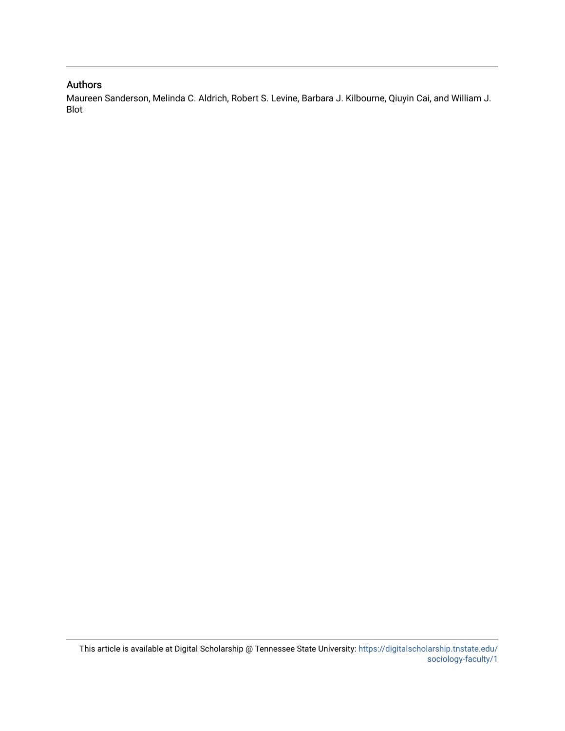#### Authors

Maureen Sanderson, Melinda C. Aldrich, Robert S. Levine, Barbara J. Kilbourne, Qiuyin Cai, and William J. Blot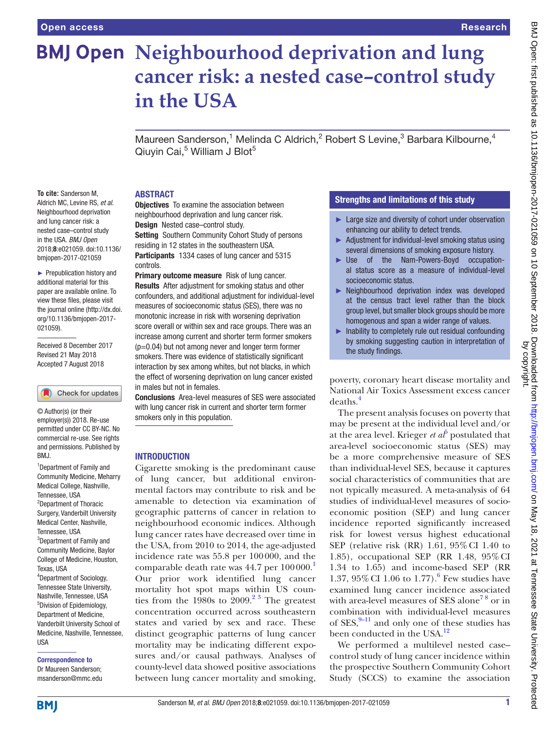# **BMJ Open Neighbourhood deprivation and lung cancer risk: a nested case–control study in the USA**

Maureen Sanderson,<sup>1</sup> Melinda C Aldrich,<sup>2</sup> Robert S Levine,<sup>3</sup> Barbara Kilbourne,<sup>4</sup> Qiuyin Cai,<sup>5</sup> William J Blot<sup>5</sup>

#### **To cite:** Sanderson M, Aldrich MC, Levine RS, *et al*. Neighbourhood deprivation and lung cancer risk: a nested case–control study in the USA. *BMJ Open* 2018;8:e021059. doi:10.1136/ bmjopen-2017-021059

► Prepublication history and additional material for this paper are available online. To view these files, please visit the journal online [\(http://dx.doi.](http://dx.doi.org/10.1136/bmjopen-2017-021059) [org/10.1136/bmjopen-2017-](http://dx.doi.org/10.1136/bmjopen-2017-021059) [021059\)](http://dx.doi.org/10.1136/bmjopen-2017-021059).

Received 8 December 2017 Revised 21 May 2018 Accepted 7 August 2018

Check for updates

© Author(s) (or their employer(s)) 2018. Re-use permitted under CC BY-NC. No commercial re-use. See rights and permissions. Published by BMJ.

<sup>1</sup>Department of Family and Community Medicine, Meharry Medical College, Nashville, Tennessee, USA <sup>2</sup>Department of Thoracic Surgery, Vanderbilt University Medical Center, Nashville, Tennessee, USA <sup>3</sup>Department of Family and Community Medicine, Baylor College of Medicine, Houston, Texas, USA 4 Department of Sociology, Tennessee State University, Nashville, Tennessee, USA 5 Division of Epidemiology, Department of Medicine, Vanderbilt University School of Medicine, Nashville, Tennessee, **IISA** 

Correspondence to Dr Maureen Sanderson; msanderson@mmc.edu

#### **ABSTRACT**

**Objectives** To examine the association between neighbourhood deprivation and lung cancer risk. Design Nested case–control study.

**Setting** Southern Community Cohort Study of persons residing in 12 states in the southeastern USA. Participants 1334 cases of lung cancer and 5315 controls.

Primary outcome measure Risk of lung cancer. Results After adjustment for smoking status and other confounders, and additional adjustment for individual-level measures of socioeconomic status (SES), there was no monotonic increase in risk with worsening deprivation score overall or within sex and race groups. There was an increase among current and shorter term former smokers (p=0.04) but not among never and longer term former smokers. There was evidence of statistically significant interaction by sex among whites, but not blacks, in which the effect of worsening deprivation on lung cancer existed in males but not in females.

Conclusions Area-level measures of SES were associated with lung cancer risk in current and shorter term former smokers only in this population.

#### **INTRODUCTION**

Cigarette smoking is the predominant cause of lung cancer, but additional environmental factors may contribute to risk and be amenable to detection via examination of geographic patterns of cancer in relation to neighbourhood economic indices. Although lung cancer rates have decreased over time in the USA, from 2010 to 2014, the age-adjusted incidence rate was 55.8 per 100000, and the comparable death rate was  $44.7$  per  $100000$  $100000$ . Our prior work identified lung cancer mortality hot spot maps within US counties from the 1980s to  $2009.<sup>2</sup>$  The greatest concentration occurred across southeastern states and varied by sex and race. These distinct geographic patterns of lung cancer mortality may be indicating different exposures and/or causal pathways. Analyses of county-level data showed positive associations between lung cancer mortality and smoking,

#### Strengths and limitations of this study

- ► Large size and diversity of cohort under observation enhancing our ability to detect trends.
- ► Adjustment for individual-level smoking status using several dimensions of smoking exposure history.
- ► Use of the Nam-Powers-Boyd occupational status score as a measure of individual-level socioeconomic status.
- ► Neighbourhood deprivation index was developed at the census tract level rather than the block group level, but smaller block groups should be more homogenous and span a wider range of values.
- ► Inability to completely rule out residual confounding by smoking suggesting caution in interpretation of the study findings.

poverty, coronary heart disease mortality and National Air Toxics Assessment excess cancer deaths[.4](#page-8-2)

The present analysis focuses on poverty that may be present at the individual level and/or at the area level. Krieger  $et\ a^{\bar{b}}$  postulated that area-level socioeconomic status (SES) may be a more comprehensive measure of SES than individual-level SES, because it captures social characteristics of communities that are not typically measured. A meta-analysis of 64 studies of individual-level measures of socioeconomic position (SEP) and lung cancer incidence reported significantly increased risk for lowest versus highest educational SEP (relative risk (RR) 1.61, 95%CI 1.40 to 1.85), occupational SEP (RR 1.48, 95%CI 1.34 to 1.65) and income-based SEP (RR 1.37,  $95\%$  CI 1.06 to 1.77).<sup>6</sup> Few studies have examined lung cancer incidence associated with area-level measures of SES alone<sup>78</sup> or in combination with individual-level measures of  $SES$ ,  $9-11$  and only one of these studies has been conducted in the USA.<sup>[12](#page-8-7)</sup>

We performed a multilevel nested case– control study of lung cancer incidence within the prospective Southern Community Cohort Study (SCCS) to examine the association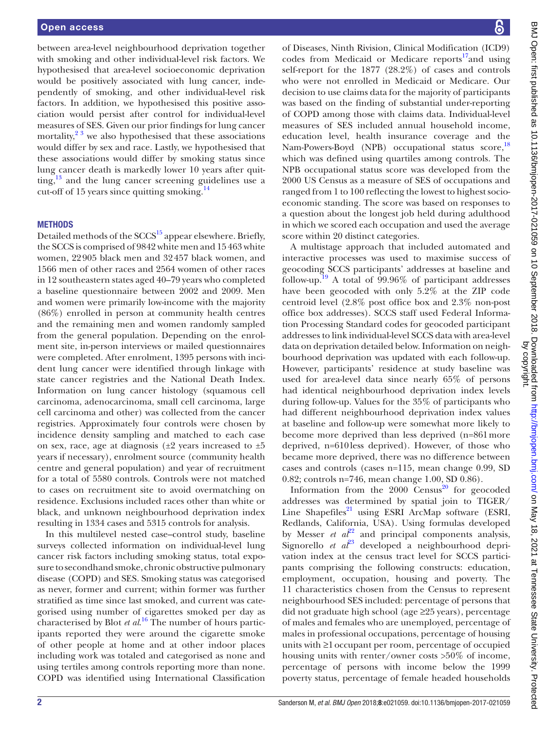between area-level neighbourhood deprivation together with smoking and other individual-level risk factors. We hypothesised that area-level socioeconomic deprivation would be positively associated with lung cancer, independently of smoking, and other individual-level risk factors. In addition, we hypothesised this positive association would persist after control for individual-level measures of SES. Given our prior findings for lung cancer mortality, $2^3$  we also hypothesised that these associations would differ by sex and race. Lastly, we hypothesised that these associations would differ by smoking status since lung cancer death is markedly lower 10 years after quit $t$ ting, $13$  and the lung cancer screening guidelines use a cut-off of 15 years since quitting smoking. $^{14}$ 

#### **METHODS**

Detailed methods of the SCCS<sup>15</sup> appear elsewhere. Briefly, the SCCS is comprised of 9842 white men and 15463 white women, 22905 black men and 32457 black women, and 1566 men of other races and 2564 women of other races in 12 southeastern states aged 40–79 years who completed a baseline questionnaire between 2002 and 2009. Men and women were primarily low-income with the majority (86%) enrolled in person at community health centres and the remaining men and women randomly sampled from the general population. Depending on the enrolment site, in-person interviews or mailed questionnaires were completed. After enrolment, 1395 persons with incident lung cancer were identified through linkage with state cancer registries and the National Death Index. Information on lung cancer histology (squamous cell carcinoma, adenocarcinoma, small cell carcinoma, large cell carcinoma and other) was collected from the cancer registries. Approximately four controls were chosen by incidence density sampling and matched to each case on sex, race, age at diagnosis ( $\pm 2$  years increased to  $\pm 5$ years if necessary), enrolment source (community health centre and general population) and year of recruitment for a total of 5580 controls. Controls were not matched to cases on recruitment site to avoid overmatching on residence. Exclusions included races other than white or black, and unknown neighbourhood deprivation index resulting in 1334 cases and 5315 controls for analysis.

In this multilevel nested case–control study, baseline surveys collected information on individual-level lung cancer risk factors including smoking status, total exposure to secondhand smoke, chronic obstructive pulmonary disease (COPD) and SES. Smoking status was categorised as never, former and current; within former was further stratified as time since last smoked, and current was categorised using number of cigarettes smoked per day as characterised by Blot *et al*. [16](#page-8-11) The number of hours participants reported they were around the cigarette smoke of other people at home and at other indoor places including work was totaled and categorised as none and using tertiles among controls reporting more than none. COPD was identified using International Classification

of Diseases, Ninth Rivision, Clinical Modification (ICD9) codes from Medicaid or Medicare reports<sup>17</sup>and using self-report for the 1877 (28.2%) of cases and controls who were not enrolled in Medicaid or Medicare. Our decision to use claims data for the majority of participants was based on the finding of substantial under-reporting of COPD among those with claims data. Individual-level measures of SES included annual household income, education level, health insurance coverage and the Nam-Powers-Boyd (NPB) occupational status score,<sup>[18](#page-8-13)</sup> which was defined using quartiles among controls. The NPB occupational status score was developed from the 2000 US Census as a measure of SES of occupations and ranged from 1 to 100 reflecting the lowest to highest socioeconomic standing. The score was based on responses to a question about the longest job held during adulthood in which we scored each occupation and used the average score within 20 distinct categories.

A multistage approach that included automated and interactive processes was used to maximise success of geocoding SCCS participants' addresses at baseline and follow-up.<sup>19</sup> A total of  $99.96\%$  of participant addresses have been geocoded with only 5.2% at the ZIP code centroid level (2.8% post office box and 2.3% non-post office box addresses). SCCS staff used Federal Information Processing Standard codes for geocoded participant addresses to link individual-level SCCS data with area-level data on deprivation detailed below. Information on neighbourhood deprivation was updated with each follow-up. However, participants' residence at study baseline was used for area-level data since nearly 65% of persons had identical neighbourhood deprivation index levels during follow-up. Values for the 35% of participants who had different neighbourhood deprivation index values at baseline and follow-up were somewhat more likely to become more deprived than less deprived (n=861more deprived, n=610less deprived). However, of those who became more deprived, there was no difference between cases and controls (cases n=115, mean change 0.99, SD 0.82; controls n=746, mean change 1.00, SD 0.86).

Information from the  $2000$  Census<sup>20</sup> for geocoded addresses was determined by spatial join to TIGER/ Line Shapefiles $^{21}$  $^{21}$  $^{21}$  using ESRI ArcMap software (ESRI, Redlands, California, USA). Using formulas developed by Messer *et*  $a^{2^2}$  and principal components analysis, Signorello et al<sup>[23](#page-8-18)</sup> developed a neighbourhood deprivation index at the census tract level for SCCS participants comprising the following constructs: education, employment, occupation, housing and poverty. The 11 characteristics chosen from the Census to represent neighbourhood SES included: percentage of persons that did not graduate high school (age ≥25 years), percentage of males and females who are unemployed, percentage of males in professional occupations, percentage of housing units with ≥1occupant per room, percentage of occupied housing units with renter/owner costs >50% of income, percentage of persons with income below the 1999 poverty status, percentage of female headed households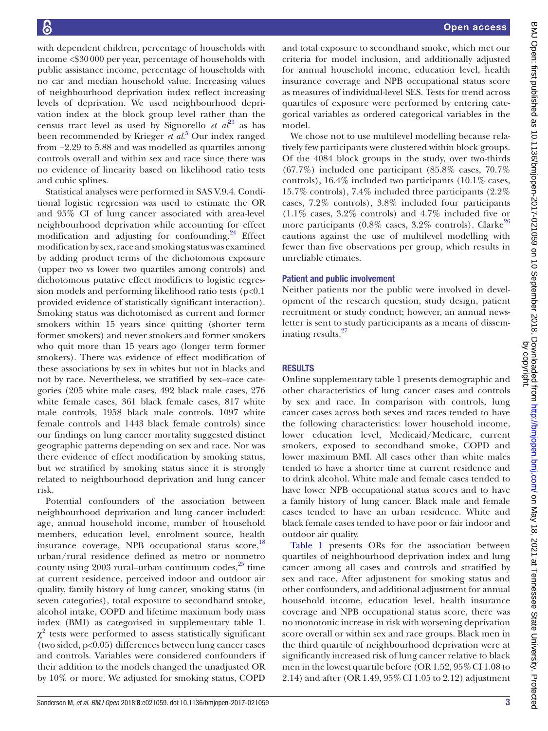with dependent children, percentage of households with income <\$30000 per year, percentage of households with public assistance income, percentage of households with no car and median household value. Increasing values of neighbourhood deprivation index reflect increasing levels of deprivation. We used neighbourhood deprivation index at the block group level rather than the census tract level as used by Signorello *et*  $a^2$ <sup>3</sup> as has been recommended by Krieger *et al*. [5](#page-8-3) Our index ranged from −2.29 to 5.88 and was modelled as quartiles among controls overall and within sex and race since there was no evidence of linearity based on likelihood ratio tests and cubic splines.

Statistical analyses were performed in SAS V.9.4. Conditional logistic regression was used to estimate the OR and 95% CI of lung cancer associated with area-level neighbourhood deprivation while accounting for effect modification and adjusting for confounding. $^{24}$  Effect modification by sex, race and smoking status was examined by adding product terms of the dichotomous exposure (upper two vs lower two quartiles among controls) and dichotomous putative effect modifiers to logistic regression models and performing likelihood ratio tests ( $p<0.1$ ) provided evidence of statistically significant interaction). Smoking status was dichotomised as current and former smokers within 15 years since quitting (shorter term former smokers) and never smokers and former smokers who quit more than 15 years ago (longer term former smokers). There was evidence of effect modification of these associations by sex in whites but not in blacks and not by race. Nevertheless, we stratified by sex–race categories (205 white male cases, 492 black male cases, 276 white female cases, 361 black female cases, 817 white male controls, 1958 black male controls, 1097 white female controls and 1443 black female controls) since our findings on lung cancer mortality suggested distinct geographic patterns depending on sex and race. Nor was there evidence of effect modification by smoking status, but we stratified by smoking status since it is strongly related to neighbourhood deprivation and lung cancer risk.

Potential confounders of the association between neighbourhood deprivation and lung cancer included: age, annual household income, number of household members, education level, enrolment source, health insurance coverage, NPB occupational status score,<sup>18</sup> urban/rural residence defined as metro or nonmetro county using 2003 rural–urban continuum codes, $^{25}$  time at current residence, perceived indoor and outdoor air quality, family history of lung cancer, smoking status (in seven categories), total exposure to secondhand smoke, alcohol intake, COPD and lifetime maximum body mass index (BMI) as categorised in [supplementary table 1.](https://dx.doi.org/10.1136/bmjopen-2017-021059)  $\chi^2$  tests were performed to assess statistically significant (two sided, p<0.05) differences between lung cancer cases and controls. Variables were considered confounders if their addition to the models changed the unadjusted OR by 10% or more. We adjusted for smoking status, COPD

and total exposure to secondhand smoke, which met our criteria for model inclusion, and additionally adjusted for annual household income, education level, health insurance coverage and NPB occupational status score as measures of individual-level SES. Tests for trend across quartiles of exposure were performed by entering categorical variables as ordered categorical variables in the model.

We chose not to use multilevel modelling because relatively few participants were clustered within block groups. Of the 4084 block groups in the study, over two-thirds (67.7%) included one participant (85.8% cases, 70.7% controls), 16.4% included two participants (10.1% cases, 15.7% controls), 7.4% included three participants (2.2% cases, 7.2% controls), 3.8% included four participants (1.1% cases, 3.2% controls) and 4.7% included five or more participants (0.8% cases, 3.2% controls). Clarke<sup>[26](#page-8-21)</sup> cautions against the use of multilevel modelling with fewer than five observations per group, which results in unreliable etimates.

#### Patient and public involvement

Neither patients nor the public were involved in development of the research question, study design, patient recruitment or study conduct; however, an annual newsletter is sent to study particicipants as a means of dissem-inating results.<sup>[27](#page-8-22)</sup>

#### **RESULTS**

Online [supplementary table 1](https://dx.doi.org/10.1136/bmjopen-2017-021059) presents demographic and other characteristics of lung cancer cases and controls by sex and race. In comparison with controls, lung cancer cases across both sexes and races tended to have the following characteristics: lower household income, lower education level, Medicaid/Medicare, current smokers, exposed to secondhand smoke, COPD and lower maximum BMI. All cases other than white males tended to have a shorter time at current residence and to drink alcohol. White male and female cases tended to have lower NPB occupational status scores and to have a family history of lung cancer. Black male and female cases tended to have an urban residence. White and black female cases tended to have poor or fair indoor and outdoor air quality.

[Table](#page-5-0) 1 presents ORs for the association between quartiles of neighbourhood deprivation index and lung cancer among all cases and controls and stratified by sex and race. After adjustment for smoking status and other confounders, and additional adjustment for annual household income, education level, health insurance coverage and NPB occupational status score, there was no monotonic increase in risk with worsening deprivation score overall or within sex and race groups. Black men in the third quartile of neighbourhood deprivation were at significantly increased risk of lung cancer relative to black men in the lowest quartile before (OR  $1.52$ ,  $95\%$  CI  $1.08$  to 2.14) and after (OR 1.49, 95%CI 1.05 to 2.12) adjustment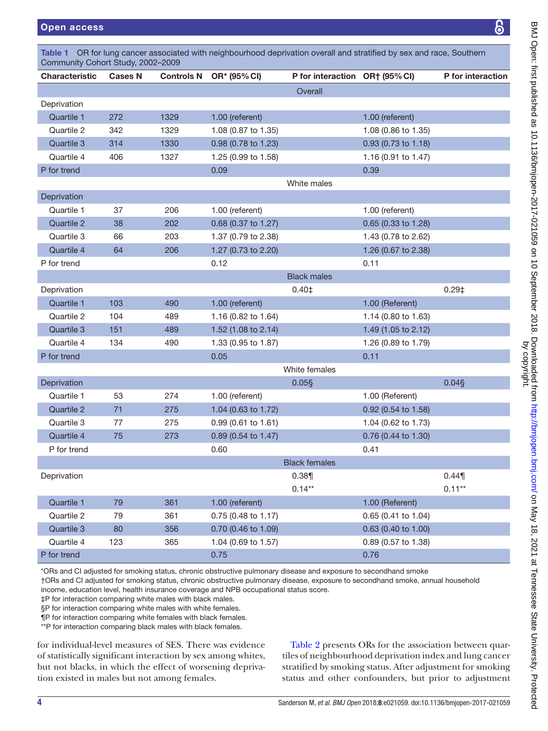| Community Cohort Study, 2002-2009 |                |                   |                     |                                |                     |                   |
|-----------------------------------|----------------|-------------------|---------------------|--------------------------------|---------------------|-------------------|
| <b>Characteristic</b>             | <b>Cases N</b> | <b>Controls N</b> | OR* (95% CI)        | P for interaction OR† (95% CI) |                     | P for interaction |
|                                   |                |                   |                     | Overall                        |                     |                   |
| Deprivation                       |                |                   |                     |                                |                     |                   |
| Quartile 1                        | 272            | 1329              | 1.00 (referent)     |                                | 1.00 (referent)     |                   |
| Quartile 2                        | 342            | 1329              | 1.08 (0.87 to 1.35) |                                | 1.08 (0.86 to 1.35) |                   |
| Quartile 3                        | 314            | 1330              | 0.98 (0.78 to 1.23) |                                | 0.93 (0.73 to 1.18) |                   |
| Quartile 4                        | 406            | 1327              | 1.25 (0.99 to 1.58) |                                | 1.16 (0.91 to 1.47) |                   |
| P for trend                       |                |                   | 0.09                |                                | 0.39                |                   |
|                                   |                |                   |                     | White males                    |                     |                   |
| Deprivation                       |                |                   |                     |                                |                     |                   |
| Quartile 1                        | 37             | 206               | 1.00 (referent)     |                                | 1.00 (referent)     |                   |
| Quartile 2                        | 38             | 202               | 0.68 (0.37 to 1.27) |                                | 0.65 (0.33 to 1.28) |                   |
| Quartile 3                        | 66             | 203               | 1.37 (0.79 to 2.38) |                                | 1.43 (0.78 to 2.62) |                   |
| Quartile 4                        | 64             | 206               | 1.27 (0.73 to 2.20) |                                | 1.26 (0.67 to 2.38) |                   |
| P for trend                       |                |                   | 0.12                |                                | 0.11                |                   |
|                                   |                |                   |                     | <b>Black males</b>             |                     |                   |
| Deprivation                       |                |                   |                     | 0.40 <sup>‡</sup>              |                     | $0.29+$           |
| Quartile 1                        | 103            | 490               | 1.00 (referent)     |                                | 1.00 (Referent)     |                   |
| Quartile 2                        | 104            | 489               | 1.16 (0.82 to 1.64) |                                | 1.14 (0.80 to 1.63) |                   |
| Quartile 3                        | 151            | 489               | 1.52 (1.08 to 2.14) |                                | 1.49 (1.05 to 2.12) |                   |
| Quartile 4                        | 134            | 490               | 1.33 (0.95 to 1.87) |                                | 1.26 (0.89 to 1.79) |                   |
| P for trend                       |                |                   | 0.05                |                                | 0.11                |                   |
|                                   |                |                   |                     | White females                  |                     |                   |
| Deprivation                       |                |                   |                     | $0.05$ §                       |                     | $0.04$ §          |
| Quartile 1                        | 53             | 274               | 1.00 (referent)     |                                | 1.00 (Referent)     |                   |
| Quartile 2                        | 71             | 275               | 1.04 (0.63 to 1.72) |                                | 0.92 (0.54 to 1.58) |                   |
| Quartile 3                        | 77             | 275               | 0.99 (0.61 to 1.61) |                                | 1.04 (0.62 to 1.73) |                   |
| Quartile 4                        | 75             | 273               | 0.89 (0.54 to 1.47) |                                | 0.76 (0.44 to 1.30) |                   |
| P for trend                       |                |                   | 0.60                |                                | 0.41                |                   |
|                                   |                |                   |                     | <b>Black females</b>           |                     |                   |
| Deprivation                       |                |                   |                     | 0.38                           |                     | 0.44              |
|                                   |                |                   |                     | $0.14**$                       |                     | $0.11**$          |
| Quartile 1                        | 79             | 361               | 1.00 (referent)     |                                | 1.00 (Referent)     |                   |
| Quartile 2                        | 79             | 361               | 0.75 (0.48 to 1.17) |                                | 0.65 (0.41 to 1.04) |                   |
| Quartile 3                        | 80             | 356               | 0.70 (0.46 to 1.09) |                                | 0.63 (0.40 to 1.00) |                   |
| Quartile 4                        | 123            | 365               | 1.04 (0.69 to 1.57) |                                | 0.89 (0.57 to 1.38) |                   |
| P for trend                       |                |                   | 0.75                |                                | 0.76                |                   |

<span id="page-5-0"></span>Table 1 OR for lung cancer associated with neighbourhood deprivation overall and stratified by sex and race, Southern

\*ORs and CI adjusted for smoking status, chronic obstructive pulmonary disease and exposure to secondhand smoke

†ORs and CI adjusted for smoking status, chronic obstructive pulmonary disease, exposure to secondhand smoke, annual household income, education level, health insurance coverage and NPB occupational status score.

‡P for interaction comparing white males with black males.

§P for interaction comparing white males with white females.

¶P for interaction comparing white females with black females.

\*\*P for interaction comparing black males with black females.

for individual-level measures of SES. There was evidence of statistically significant interaction by sex among whites, but not blacks, in which the effect of worsening deprivation existed in males but not among females.

[Table](#page-6-0) 2 presents ORs for the association between quartiles of neighbourhood deprivation index and lung cancer stratified by smoking status. After adjustment for smoking status and other confounders, but prior to adjustment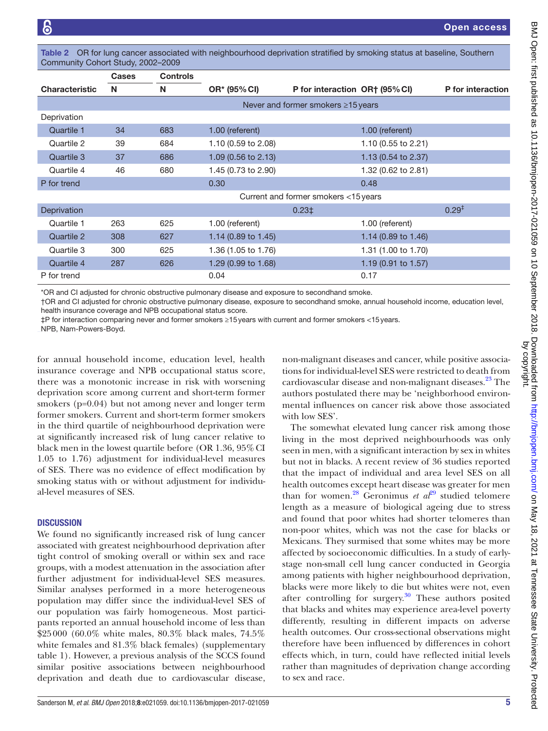<span id="page-6-0"></span>OR for lung cancer associated with neighbourhood deprivation stratified by smoking status at baseline, Southern Community Cohort Study, 2002–2009

|                       | <b>Cases</b> | <b>Controls</b>                      |                                          |                                |                     |                          |  |  |  |
|-----------------------|--------------|--------------------------------------|------------------------------------------|--------------------------------|---------------------|--------------------------|--|--|--|
| <b>Characteristic</b> | N            | N                                    | OR* (95% CI)                             | P for interaction OR† (95% CI) |                     | <b>P</b> for interaction |  |  |  |
|                       |              |                                      | Never and former smokers $\geq 15$ years |                                |                     |                          |  |  |  |
| Deprivation           |              |                                      |                                          |                                |                     |                          |  |  |  |
| Quartile 1            | 34           | 683                                  | 1.00 (referent)                          |                                | 1.00 (referent)     |                          |  |  |  |
| Quartile 2            | 39           | 684                                  | 1.10 (0.59 to 2.08)                      |                                | 1.10 (0.55 to 2.21) |                          |  |  |  |
| Quartile 3            | 37           | 686                                  | 1.09 (0.56 to 2.13)                      |                                | 1.13 (0.54 to 2.37) |                          |  |  |  |
| Quartile 4            | 46           | 680                                  | 1.45 (0.73 to 2.90)                      |                                | 1.32 (0.62 to 2.81) |                          |  |  |  |
| P for trend           |              |                                      | 0.30                                     |                                | 0.48                |                          |  |  |  |
|                       |              | Current and former smokers <15 years |                                          |                                |                     |                          |  |  |  |
| Deprivation           |              |                                      |                                          | $0.23+$                        |                     | $0.29^{+}$               |  |  |  |
| Quartile 1            | 263          | 625                                  | 1.00 (referent)                          |                                | 1.00 (referent)     |                          |  |  |  |
| Quartile 2            | 308          | 627                                  | 1.14 (0.89 to 1.45)                      |                                | 1.14 (0.89 to 1.46) |                          |  |  |  |
| Quartile 3            | 300          | 625                                  | 1.36 (1.05 to 1.76)                      |                                | 1.31 (1.00 to 1.70) |                          |  |  |  |
| Quartile 4            | 287          | 626                                  | 1.29 (0.99 to 1.68)                      |                                | 1.19 (0.91 to 1.57) |                          |  |  |  |
| P for trend           |              |                                      | 0.04                                     |                                | 0.17                |                          |  |  |  |

\*OR and CI adjusted for chronic obstructive pulmonary disease and exposure to secondhand smoke.

†OR and CI adjusted for chronic obstructive pulmonary disease, exposure to secondhand smoke, annual household income, education level, health insurance coverage and NPB occupational status score.

‡P for interaction comparing never and former smokers ≥15years with current and former smokers <15years.

NPB, Nam-Powers-Boyd.

for annual household income, education level, health insurance coverage and NPB occupational status score, there was a monotonic increase in risk with worsening deprivation score among current and short-term former smokers (p=0.04) but not among never and longer term former smokers. Current and short-term former smokers in the third quartile of neighbourhood deprivation were at significantly increased risk of lung cancer relative to black men in the lowest quartile before (OR 1.36, 95%CI 1.05 to 1.76) adjustment for individual-level measures of SES. There was no evidence of effect modification by smoking status with or without adjustment for individual-level measures of SES.

#### **DISCUSSION**

We found no significantly increased risk of lung cancer associated with greatest neighbourhood deprivation after tight control of smoking overall or within sex and race groups, with a modest attenuation in the association after further adjustment for individual-level SES measures. Similar analyses performed in a more heterogeneous population may differ since the individual-level SES of our population was fairly homogeneous. Most participants reported an annual household income of less than \$25000 (60.0% white males, 80.3% black males, 74.5% white females and 81.3% black females) ([supplementary](https://dx.doi.org/10.1136/bmjopen-2017-021059) [table 1](https://dx.doi.org/10.1136/bmjopen-2017-021059)). However, a previous analysis of the SCCS found similar positive associations between neighbourhood deprivation and death due to cardiovascular disease,

non-malignant diseases and cancer, while positive associations for individual-level SES were restricted to death from cardiovascular disease and non-malignant diseases.<sup>23</sup> The authors postulated there may be 'neighborhood environmental influences on cancer risk above those associated with low SES'.

The somewhat elevated lung cancer risk among those living in the most deprived neighbourhoods was only seen in men, with a significant interaction by sex in whites but not in blacks. A recent review of 36 studies reported that the impact of individual and area level SES on all health outcomes except heart disease was greater for men than for women.<sup>28</sup> Geronimus *et al*<sup>[29](#page-8-24)</sup> studied telomere length as a measure of biological ageing due to stress and found that poor whites had shorter telomeres than non-poor whites, which was not the case for blacks or Mexicans. They surmised that some whites may be more affected by socioeconomic difficulties. In a study of earlystage non-small cell lung cancer conducted in Georgia among patients with higher neighbourhood deprivation, blacks were more likely to die but whites were not, even after controlling for surgery. $30$  These authors posited that blacks and whites may experience area-level poverty differently, resulting in different impacts on adverse health outcomes. Our cross-sectional observations might therefore have been influenced by differences in cohort effects which, in turn, could have reflected initial levels rather than magnitudes of deprivation change according to sex and race.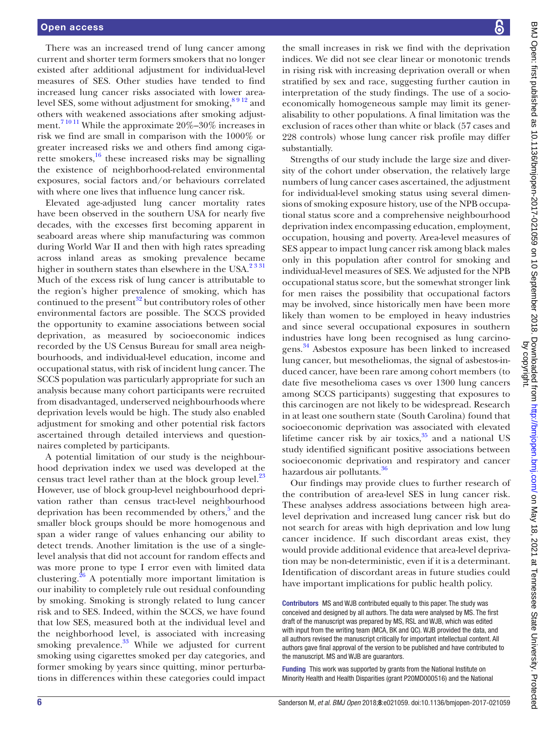There was an increased trend of lung cancer among current and shorter term formers smokers that no longer existed after additional adjustment for individual-level measures of SES. Other studies have tended to find increased lung cancer risks associated with lower arealevel SES, some without adjustment for smoking,  $8912$  and others with weakened associations after smoking adjustment.[7 10 11](#page-8-5) While the approximate 20%–30% increases in risk we find are small in comparison with the 1000% or greater increased risks we and others find among cigarette smokers, $^{16}$  $^{16}$  $^{16}$  these increased risks may be signalling the existence of neighborhood-related environmental exposures, social factors and/or behaviours correlated with where one lives that influence lung cancer risk.

Elevated age-adjusted lung cancer mortality rates have been observed in the southern USA for nearly five decades, with the excesses first becoming apparent in seaboard areas where ship manufacturing was common during World War II and then with high rates spreading across inland areas as smoking prevalence became higher in southern states than elsewhere in the USA.<sup>2331</sup> Much of the excess risk of lung cancer is attributable to the region's higher prevalence of smoking, which has continued to the present $32$  but contributory roles of other environmental factors are possible. The SCCS provided the opportunity to examine associations between social deprivation, as measured by socioeconomic indices recorded by the US Census Bureau for small area neighbourhoods, and individual-level education, income and occupational status, with risk of incident lung cancer. The SCCS population was particularly appropriate for such an analysis because many cohort participants were recruited from disadvantaged, underserved neighbourhoods where deprivation levels would be high. The study also enabled adjustment for smoking and other potential risk factors ascertained through detailed interviews and questionnaires completed by participants.

A potential limitation of our study is the neighbourhood deprivation index we used was developed at the census tract level rather than at the block group level.<sup>[23](#page-8-18)</sup> However, use of block group-level neighbourhood deprivation rather than census tract-level neighbourhood deprivation has been recommended by others,<sup>5</sup> and the smaller block groups should be more homogenous and span a wider range of values enhancing our ability to detect trends. Another limitation is the use of a singlelevel analysis that did not account for random effects and was more prone to type I error even with limited data clustering. $26$  A potentially more important limitation is our inability to completely rule out residual confounding by smoking. Smoking is strongly related to lung cancer risk and to SES. Indeed, within the SCCS, we have found that low SES, measured both at the individual level and the neighborhood level, is associated with increasing smoking prevalence. $33$  While we adjusted for current smoking using cigarettes smoked per day categories, and former smoking by years since quitting, minor perturbations in differences within these categories could impact

BMJ Open: first published as 10.1136/bmjopen-2017-021059 on 10 September 2018. Downloaded from http://bmjopen.bmj.com/ on May 18, 2021 at Tennessee State University. Protected<br>by copyright published as 10.1136/bmjopen-2017 BMJ Open: first published as 10.1136/bmjopen-2017-021059 on 10 September 2018. Downloaded from <http://bmjopen.bmj.com/> on May 18, 2021 at Tennessee State University. Protected by copyright.

the small increases in risk we find with the deprivation indices. We did not see clear linear or monotonic trends in rising risk with increasing deprivation overall or when stratified by sex and race, suggesting further caution in interpretation of the study findings. The use of a socioeconomically homogeneous sample may limit its generalisability to other populations. A final limitation was the exclusion of races other than white or black (57 cases and 228 controls) whose lung cancer risk profile may differ substantially.

Strengths of our study include the large size and diversity of the cohort under observation, the relatively large numbers of lung cancer cases ascertained, the adjustment for individual-level smoking status using several dimensions of smoking exposure history, use of the NPB occupational status score and a comprehensive neighbourhood deprivation index encompassing education, employment, occupation, housing and poverty. Area-level measures of SES appear to impact lung cancer risk among black males only in this population after control for smoking and individual-level measures of SES. We adjusted for the NPB occupational status score, but the somewhat stronger link for men raises the possibility that occupational factors may be involved, since historically men have been more likely than women to be employed in heavy industries and since several occupational exposures in southern industries have long been recognised as lung carcinogens. [34](#page-8-29) Asbestos exposure has been linked to increased lung cancer, but mesotheliomas, the signal of asbestos-induced cancer, have been rare among cohort members (to date five mesothelioma cases vs over 1300 lung cancers among SCCS participants) suggesting that exposures to this carcinogen are not likely to be widespread. Research in at least one southern state (South Carolina) found that socioeconomic deprivation was associated with elevated lifetime cancer risk by air toxics, $35$  and a national US study identified significant positive associations between socioeconomic deprivation and respiratory and cancer hazardous air pollutants[.36](#page-8-31)

Our findings may provide clues to further research of the contribution of area-level SES in lung cancer risk. These analyses address associations between high arealevel deprivation and increased lung cancer risk but do not search for areas with high deprivation and low lung cancer incidence. If such discordant areas exist, they would provide additional evidence that area-level deprivation may be non-deterministic, even if it is a determinant. Identification of discordant areas in future studies could have important implications for public health policy.

Contributors MS and WJB contributed equally to this paper. The study was conceived and designed by all authors. The data were analysed by MS. The first draft of the manuscript was prepared by MS, RSL and WJB, which was edited with input from the writing team (MCA, BK and QC). WJB provided the data, and all authors revised the manuscript critically for important intellectual content. All authors gave final approval of the version to be published and have contributed to the manuscript. MS and WJB are guarantors.

Funding This work was supported by grants from the National Institute on Minority Health and Health Disparities (grant P20MD000516) and the National